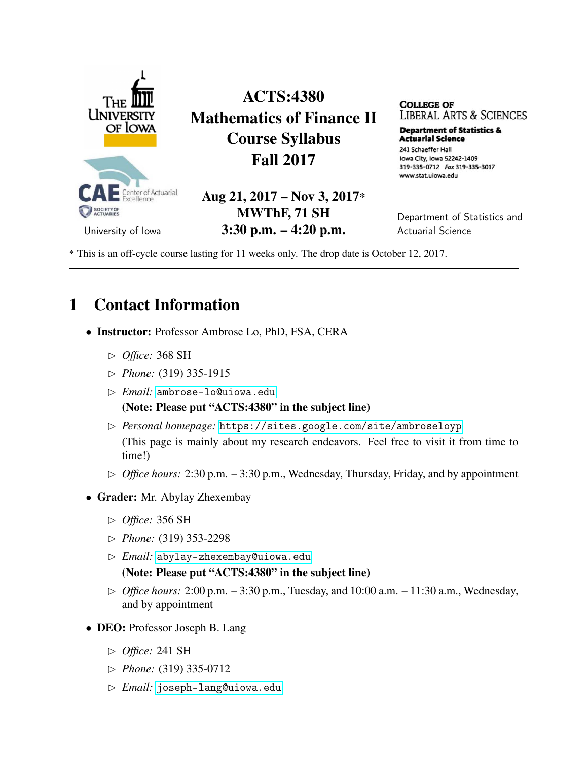

ACTS:4380 Mathematics of Finance II Course Syllabus Fall 2017

Aug 21, 2017 – Nov 3, 2017\* MWThF, 71 SH 3:30 p.m. – 4:20 p.m.

**COLLEGE OF**  LIBERAL ARTS & SCIENCES

**Department of Statistics & Actuarial science**  241 Schaeffer Hall

Iowa City, Iowa 52242-1409 319-335-0712 Fax 319-335-3017 www.stat.uiowa.edu

Department of Statistics and Actuarial Science

University of Iowa

\* This is an off-cycle course lasting for 11 weeks only. The drop date is October 12, 2017.

## 1 Contact Information

- Instructor: Professor Ambrose Lo, PhD, FSA, CERA
	- ✄ *Office:* 368 SH
	- ✄ *Phone:* (319) 335-1915
	- ✄ *Email:* <ambrose-lo@uiowa.edu>

#### (Note: Please put "ACTS:4380" in the subject line)

- ✄ *Personal homepage:* <https://sites.google.com/site/ambroseloyp> (This page is mainly about my research endeavors. Feel free to visit it from time to time!)
- $\triangleright$  *Office hours:* 2:30 p.m.  $-3:30$  p.m., Wednesday, Thursday, Friday, and by appointment
- Grader: Mr. Abylay Zhexembay
	- ✄ *Office:* 356 SH
	- ✄ *Phone:* (319) 353-2298
	- ✄ *Email:* <abylay-zhexembay@uiowa.edu> (Note: Please put "ACTS:4380" in the subject line)
	- ✄ *Office hours:* 2:00 p.m. 3:30 p.m., Tuesday, and 10:00 a.m. 11:30 a.m., Wednesday, and by appointment
- DEO: Professor Joseph B. Lang
	- ✄ *Office:* 241 SH
	- ✄ *Phone:* (319) 335-0712
	- ✄ *Email:* <joseph-lang@uiowa.edu>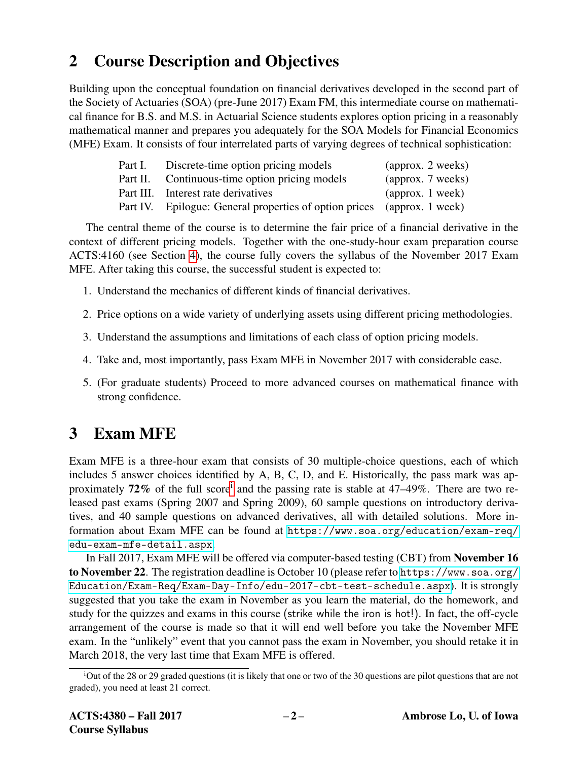## 2 Course Description and Objectives

Building upon the conceptual foundation on financial derivatives developed in the second part of the Society of Actuaries (SOA) (pre-June 2017) Exam FM, this intermediate course on mathematical finance for B.S. and M.S. in Actuarial Science students explores option pricing in a reasonably mathematical manner and prepares you adequately for the SOA Models for Financial Economics (MFE) Exam. It consists of four interrelated parts of varying degrees of technical sophistication:

| Discrete-time option pricing models                    | (approx. 2 weeks)         |
|--------------------------------------------------------|---------------------------|
| Continuous-time option pricing models                  | (approx. 7 weeks)         |
| Part III. Interest rate derivatives                    | $\alpha$ (approx. 1 week) |
| Part IV. Epilogue: General properties of option prices | (approx. 1 week)          |
|                                                        |                           |

The central theme of the course is to determine the fair price of a financial derivative in the context of different pricing models. Together with the one-study-hour exam preparation course ACTS:4160 (see Section [4\)](#page-2-0), the course fully covers the syllabus of the November 2017 Exam MFE. After taking this course, the successful student is expected to:

- 1. Understand the mechanics of different kinds of financial derivatives.
- 2. Price options on a wide variety of underlying assets using different pricing methodologies.
- 3. Understand the assumptions and limitations of each class of option pricing models.
- 4. Take and, most importantly, pass Exam MFE in November 2017 with considerable ease.
- 5. (For graduate students) Proceed to more advanced courses on mathematical finance with strong confidence.

# 3 Exam MFE

Exam MFE is a three-hour exam that consists of 30 multiple-choice questions, each of which includes 5 answer choices identified by A, B, C, D, and E. Historically, the pass mark was approx[i](#page-1-0)mately 72% of the full score<sup>i</sup> and the passing rate is stable at  $47-49\%$ . There are two released past exams (Spring 2007 and Spring 2009), 60 sample questions on introductory derivatives, and 40 sample questions on advanced derivatives, all with detailed solutions. More information about Exam MFE can be found at [https://www.soa.org/education/exam-req/](https://www.soa.org/education/exam-req/edu-exam-mfe-detail.aspx) [edu-exam-mfe-detail.aspx](https://www.soa.org/education/exam-req/edu-exam-mfe-detail.aspx).

In Fall 2017, Exam MFE will be offered via computer-based testing (CBT) from November 16 to November 22. The registration deadline is October 10 (please refer to [https://www.soa.org/](https://www.soa.org/Education/Exam-Req/Exam-Day-Info/edu-2017-cbt-test-schedule.aspx) [Education/Exam-Req/Exam-Day-Info/edu-2017-cbt-test-schedule.aspx](https://www.soa.org/Education/Exam-Req/Exam-Day-Info/edu-2017-cbt-test-schedule.aspx)). It is strongly suggested that you take the exam in November as you learn the material, do the homework, and study for the quizzes and exams in this course (strike while the iron is hot!). In fact, the off-cycle arrangement of the course is made so that it will end well before you take the November MFE exam. In the "unlikely" event that you cannot pass the exam in November, you should retake it in March 2018, the very last time that Exam MFE is offered.

<span id="page-1-0"></span><sup>i</sup>Out of the 28 or 29 graded questions (it is likely that one or two of the 30 questions are pilot questions that are not graded), you need at least 21 correct.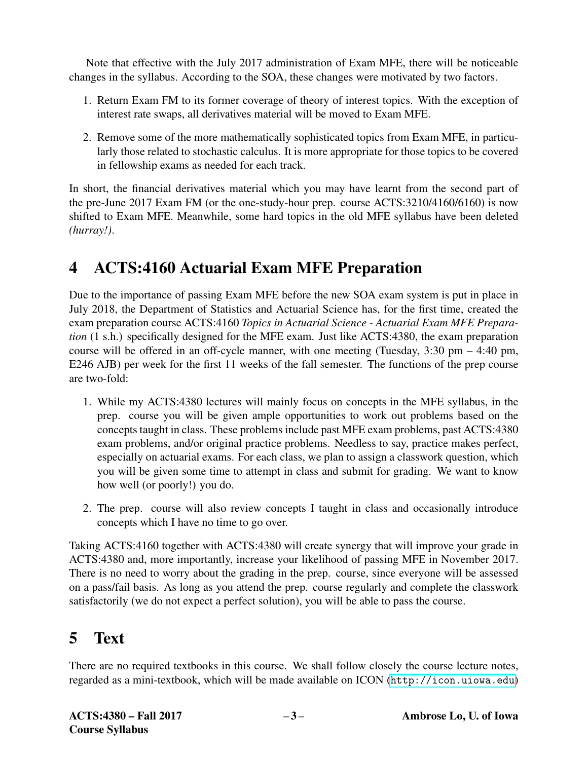Note that effective with the July 2017 administration of Exam MFE, there will be noticeable changes in the syllabus. According to the SOA, these changes were motivated by two factors.

- 1. Return Exam FM to its former coverage of theory of interest topics. With the exception of interest rate swaps, all derivatives material will be moved to Exam MFE.
- 2. Remove some of the more mathematically sophisticated topics from Exam MFE, in particularly those related to stochastic calculus. It is more appropriate for those topics to be covered in fellowship exams as needed for each track.

In short, the financial derivatives material which you may have learnt from the second part of the pre-June 2017 Exam FM (or the one-study-hour prep. course ACTS:3210/4160/6160) is now shifted to Exam MFE. Meanwhile, some hard topics in the old MFE syllabus have been deleted *(hurray!)*.

## <span id="page-2-0"></span>4 ACTS:4160 Actuarial Exam MFE Preparation

Due to the importance of passing Exam MFE before the new SOA exam system is put in place in July 2018, the Department of Statistics and Actuarial Science has, for the first time, created the exam preparation course ACTS:4160 *Topics in Actuarial Science - Actuarial Exam MFE Preparation* (1 s.h.) specifically designed for the MFE exam. Just like ACTS:4380, the exam preparation course will be offered in an off-cycle manner, with one meeting (Tuesday, 3:30 pm – 4:40 pm, E246 AJB) per week for the first 11 weeks of the fall semester. The functions of the prep course are two-fold:

- 1. While my ACTS:4380 lectures will mainly focus on concepts in the MFE syllabus, in the prep. course you will be given ample opportunities to work out problems based on the concepts taught in class. These problems include past MFE exam problems, past ACTS:4380 exam problems, and/or original practice problems. Needless to say, practice makes perfect, especially on actuarial exams. For each class, we plan to assign a classwork question, which you will be given some time to attempt in class and submit for grading. We want to know how well (or poorly!) you do.
- 2. The prep. course will also review concepts I taught in class and occasionally introduce concepts which I have no time to go over.

Taking ACTS:4160 together with ACTS:4380 will create synergy that will improve your grade in ACTS:4380 and, more importantly, increase your likelihood of passing MFE in November 2017. There is no need to worry about the grading in the prep. course, since everyone will be assessed on a pass/fail basis. As long as you attend the prep. course regularly and complete the classwork satisfactorily (we do not expect a perfect solution), you will be able to pass the course.

# 5 Text

There are no required textbooks in this course. We shall follow closely the course lecture notes, regarded as a mini-textbook, which will be made available on ICON (<http://icon.uiowa.edu>)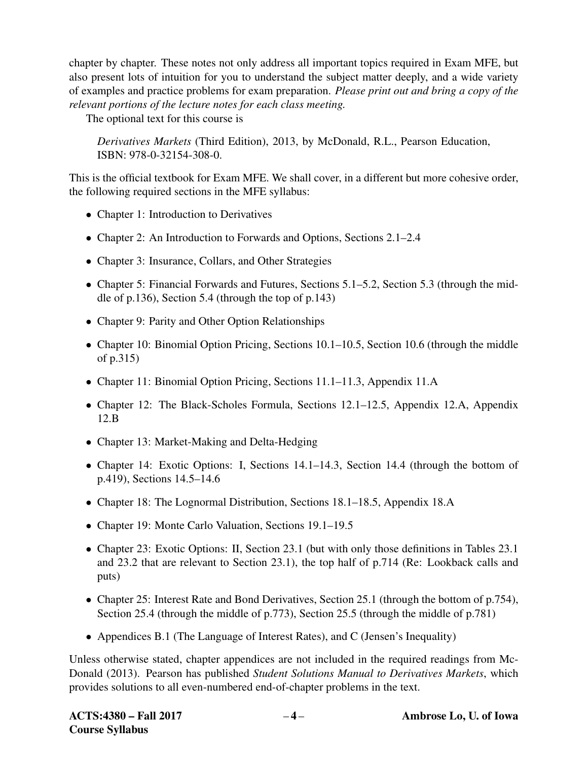chapter by chapter. These notes not only address all important topics required in Exam MFE, but also present lots of intuition for you to understand the subject matter deeply, and a wide variety of examples and practice problems for exam preparation. *Please print out and bring a copy of the relevant portions of the lecture notes for each class meeting.*

The optional text for this course is

*Derivatives Markets* (Third Edition), 2013, by McDonald, R.L., Pearson Education, ISBN: 978-0-32154-308-0.

This is the official textbook for Exam MFE. We shall cover, in a different but more cohesive order, the following required sections in the MFE syllabus:

- Chapter 1: Introduction to Derivatives
- Chapter 2: An Introduction to Forwards and Options, Sections 2.1–2.4
- Chapter 3: Insurance, Collars, and Other Strategies
- Chapter 5: Financial Forwards and Futures, Sections 5.1–5.2, Section 5.3 (through the middle of p.136), Section 5.4 (through the top of p.143)
- Chapter 9: Parity and Other Option Relationships
- Chapter 10: Binomial Option Pricing, Sections 10.1–10.5, Section 10.6 (through the middle of p.315)
- Chapter 11: Binomial Option Pricing, Sections 11.1–11.3, Appendix 11.A
- Chapter 12: The Black-Scholes Formula, Sections 12.1–12.5, Appendix 12.A, Appendix 12.B
- Chapter 13: Market-Making and Delta-Hedging
- Chapter 14: Exotic Options: I, Sections 14.1–14.3, Section 14.4 (through the bottom of p.419), Sections 14.5–14.6
- Chapter 18: The Lognormal Distribution, Sections 18.1–18.5, Appendix 18.A
- Chapter 19: Monte Carlo Valuation, Sections 19.1–19.5
- Chapter 23: Exotic Options: II, Section 23.1 (but with only those definitions in Tables 23.1) and 23.2 that are relevant to Section 23.1), the top half of p.714 (Re: Lookback calls and puts)
- Chapter 25: Interest Rate and Bond Derivatives, Section 25.1 (through the bottom of p.754), Section 25.4 (through the middle of p.773), Section 25.5 (through the middle of p.781)
- Appendices B.1 (The Language of Interest Rates), and C (Jensen's Inequality)

Unless otherwise stated, chapter appendices are not included in the required readings from Mc-Donald (2013). Pearson has published *Student Solutions Manual to Derivatives Markets*, which provides solutions to all even-numbered end-of-chapter problems in the text.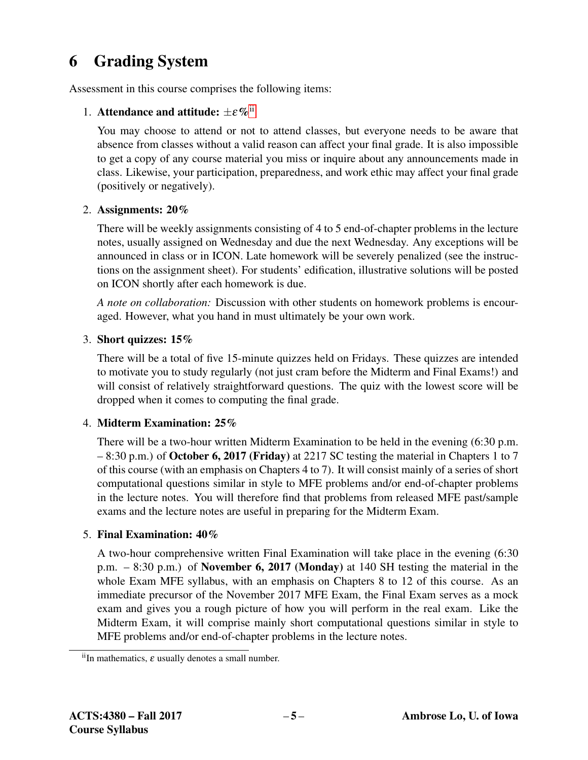## 6 Grading System

Assessment in this course comprises the following items:

### 1. Attendance and attitude:  $\pm \varepsilon \%$ <sup>[ii](#page-4-0)</sup>

You may choose to attend or not to attend classes, but everyone needs to be aware that absence from classes without a valid reason can affect your final grade. It is also impossible to get a copy of any course material you miss or inquire about any announcements made in class. Likewise, your participation, preparedness, and work ethic may affect your final grade (positively or negatively).

### 2. Assignments: 20%

There will be weekly assignments consisting of 4 to 5 end-of-chapter problems in the lecture notes, usually assigned on Wednesday and due the next Wednesday. Any exceptions will be announced in class or in ICON. Late homework will be severely penalized (see the instructions on the assignment sheet). For students' edification, illustrative solutions will be posted on ICON shortly after each homework is due.

*A note on collaboration:* Discussion with other students on homework problems is encouraged. However, what you hand in must ultimately be your own work.

### 3. Short quizzes: 15%

There will be a total of five 15-minute quizzes held on Fridays. These quizzes are intended to motivate you to study regularly (not just cram before the Midterm and Final Exams!) and will consist of relatively straightforward questions. The quiz with the lowest score will be dropped when it comes to computing the final grade.

### 4. Midterm Examination: 25%

There will be a two-hour written Midterm Examination to be held in the evening (6:30 p.m. – 8:30 p.m.) of October 6, 2017 (Friday) at 2217 SC testing the material in Chapters 1 to 7 of this course (with an emphasis on Chapters 4 to 7). It will consist mainly of a series of short computational questions similar in style to MFE problems and/or end-of-chapter problems in the lecture notes. You will therefore find that problems from released MFE past/sample exams and the lecture notes are useful in preparing for the Midterm Exam.

### 5. Final Examination: 40%

A two-hour comprehensive written Final Examination will take place in the evening (6:30 p.m. – 8:30 p.m.) of November 6, 2017 (Monday) at 140 SH testing the material in the whole Exam MFE syllabus, with an emphasis on Chapters 8 to 12 of this course. As an immediate precursor of the November 2017 MFE Exam, the Final Exam serves as a mock exam and gives you a rough picture of how you will perform in the real exam. Like the Midterm Exam, it will comprise mainly short computational questions similar in style to MFE problems and/or end-of-chapter problems in the lecture notes.

<span id="page-4-0"></span> $i$ <sup>ii</sup>In mathematics,  $\varepsilon$  usually denotes a small number.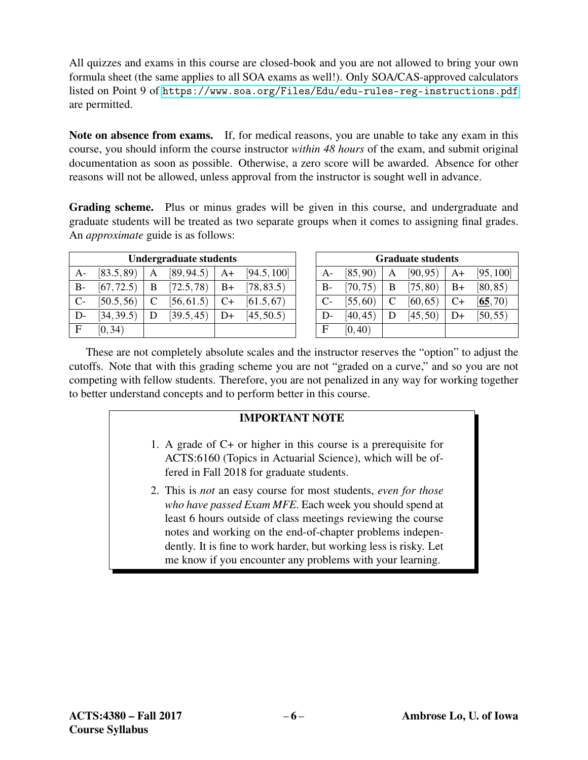All quizzes and exams in this course are closed-book and you are not allowed to bring your own formula sheet (the same applies to all SOA exams as well!). Only SOA/CAS-approved calculators listed on Point 9 of <https://www.soa.org/Files/Edu/edu-rules-reg-instructions.pdf> are permitted.

Note on absence from exams. If, for medical reasons, you are unable to take any exam in this course, you should inform the course instructor *within 48 hours* of the exam, and submit original documentation as soon as possible. Otherwise, a zero score will be awarded. Absence for other reasons will not be allowed, unless approval from the instructor is sought well in advance.

Grading scheme. Plus or minus grades will be given in this course, and undergraduate and graduate students will be treated as two separate groups when it comes to assigning final grades. An *approximate* guide is as follows:

| <b>Undergraduate students</b> |            |   |            |      |             |
|-------------------------------|------------|---|------------|------|-------------|
| $A -$                         | [83.5, 89] | A | [89, 94.5] | $A+$ | [94.5, 100] |
| $B-$                          | [67, 72.5) | B | [72.5, 78] | $B+$ | [78, 83.5]  |
| $C-$                          | [50.5, 56] | C | [56, 61.5] | $C+$ | [61.5, 67]  |
| D-                            | [34, 39.5] | D | [39.5, 45] | D+   | [45, 50.5]  |
| $\mathbf{F}$                  | [0, 34)    |   |            |      |             |

| <b>Graduate students</b> |          |   |          |      |           |
|--------------------------|----------|---|----------|------|-----------|
| $A -$                    | [85, 90) |   | [90, 95) | $A+$ | [95, 100] |
| $B -$                    | [70, 75) | B | [75, 80) | $B+$ | [80, 85)  |
| $C-$                     | [55, 60) | C | [60, 65) | C+   | [65, 70)  |
| D-                       | [40, 45) | D | [45, 50) | D+   | [50, 55)  |
| F                        | [0, 40)  |   |          |      |           |

These are not completely absolute scales and the instructor reserves the "option" to adjust the cutoffs. Note that with this grading scheme you are not "graded on a curve," and so you are not competing with fellow students. Therefore, you are not penalized in any way for working together to better understand concepts and to perform better in this course.

### IMPORTANT NOTE

- 1. A grade of C+ or higher in this course is a prerequisite for ACTS:6160 (Topics in Actuarial Science), which will be offered in Fall 2018 for graduate students.
- 2. This is *not* an easy course for most students, *even for those who have passed Exam MFE*. Each week you should spend at least 6 hours outside of class meetings reviewing the course notes and working on the end-of-chapter problems independently. It is fine to work harder, but working less is risky. Let me know if you encounter any problems with your learning.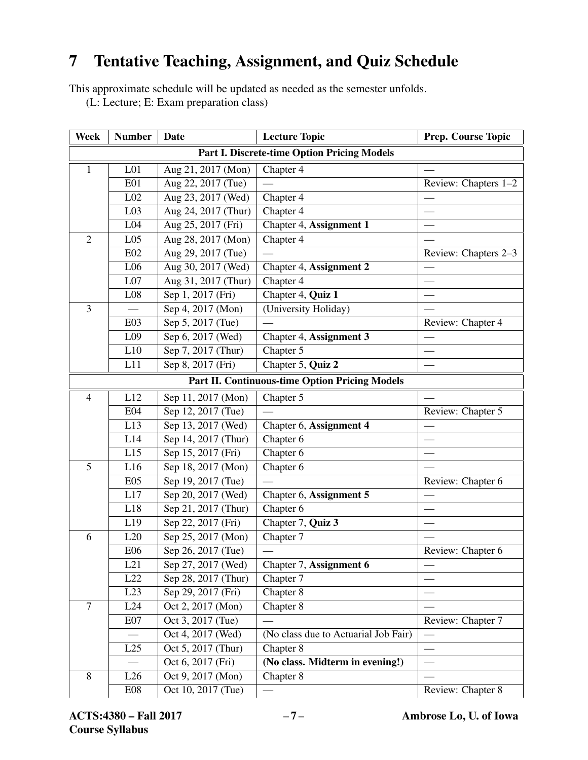## 7 Tentative Teaching, Assignment, and Quiz Schedule

This approximate schedule will be updated as needed as the semester unfolds.

(L: Lecture; E: Exam preparation class)

| <b>Week</b>                                 | <b>Number</b>                                         | <b>Date</b>         | <b>Lecture Topic</b>                 | Prep. Course Topic   |  |  |
|---------------------------------------------|-------------------------------------------------------|---------------------|--------------------------------------|----------------------|--|--|
| Part I. Discrete-time Option Pricing Models |                                                       |                     |                                      |                      |  |  |
| $\mathbf{1}$                                | L <sub>01</sub>                                       | Aug 21, 2017 (Mon)  | Chapter 4                            |                      |  |  |
|                                             | <b>E01</b>                                            | Aug 22, 2017 (Tue)  |                                      | Review: Chapters 1-2 |  |  |
|                                             | L <sub>02</sub>                                       | Aug 23, 2017 (Wed)  | Chapter 4                            |                      |  |  |
|                                             | L <sub>03</sub>                                       | Aug 24, 2017 (Thur) | Chapter 4                            |                      |  |  |
|                                             | L04                                                   | Aug 25, 2017 (Fri)  | Chapter 4, Assignment 1              |                      |  |  |
| $\mathbf{2}$                                | L <sub>05</sub>                                       | Aug 28, 2017 (Mon)  | Chapter 4                            |                      |  |  |
|                                             | <b>E02</b>                                            | Aug 29, 2017 (Tue)  |                                      | Review: Chapters 2-3 |  |  |
|                                             | L <sub>06</sub>                                       | Aug 30, 2017 (Wed)  | Chapter 4, Assignment 2              |                      |  |  |
|                                             | L07                                                   | Aug 31, 2017 (Thur) | Chapter 4                            |                      |  |  |
|                                             | L08                                                   | Sep 1, 2017 (Fri)   | Chapter 4, Quiz 1                    |                      |  |  |
| 3                                           |                                                       | Sep 4, 2017 (Mon)   | (University Holiday)                 |                      |  |  |
|                                             | E03                                                   | Sep 5, 2017 (Tue)   |                                      | Review: Chapter 4    |  |  |
|                                             | L <sub>09</sub>                                       | Sep 6, 2017 (Wed)   | Chapter 4, Assignment 3              |                      |  |  |
|                                             | L10                                                   | Sep 7, 2017 (Thur)  | Chapter 5                            |                      |  |  |
|                                             | L11                                                   | Sep 8, 2017 (Fri)   | Chapter 5, Quiz 2                    |                      |  |  |
|                                             | <b>Part II. Continuous-time Option Pricing Models</b> |                     |                                      |                      |  |  |
| $\overline{4}$                              | L12                                                   | Sep 11, 2017 (Mon)  | Chapter 5                            |                      |  |  |
|                                             | <b>E04</b>                                            | Sep 12, 2017 (Tue)  |                                      | Review: Chapter 5    |  |  |
|                                             | L13                                                   | Sep 13, 2017 (Wed)  | Chapter 6, Assignment 4              |                      |  |  |
|                                             | L14                                                   | Sep 14, 2017 (Thur) | Chapter 6                            |                      |  |  |
|                                             | $\overline{L}$ 15                                     | Sep 15, 2017 (Fri)  | Chapter 6                            |                      |  |  |
| 5                                           | L16                                                   | Sep 18, 2017 (Mon)  | Chapter 6                            |                      |  |  |
|                                             | E05                                                   | Sep 19, 2017 (Tue)  |                                      | Review: Chapter 6    |  |  |
|                                             | L17                                                   | Sep 20, 2017 (Wed)  | Chapter 6, Assignment 5              |                      |  |  |
|                                             | L18                                                   | Sep 21, 2017 (Thur) | Chapter 6                            |                      |  |  |
|                                             | L19                                                   | Sep 22, 2017 (Fri)  | Chapter 7, Quiz 3                    |                      |  |  |
| 6                                           | L20                                                   | Sep 25, 2017 (Mon)  | Chapter 7                            |                      |  |  |
|                                             | <b>E06</b>                                            | Sep 26, 2017 (Tue)  |                                      | Review: Chapter 6    |  |  |
|                                             | L21                                                   | Sep 27, 2017 (Wed)  | Chapter 7, Assignment 6              |                      |  |  |
|                                             | L22                                                   | Sep 28, 2017 (Thur) | Chapter 7                            |                      |  |  |
|                                             | L23                                                   | Sep 29, 2017 (Fri)  | Chapter 8                            |                      |  |  |
| $\overline{7}$                              | L24                                                   | Oct 2, 2017 (Mon)   | Chapter 8                            |                      |  |  |
|                                             | E07                                                   | Oct 3, 2017 (Tue)   |                                      | Review: Chapter 7    |  |  |
|                                             |                                                       | Oct 4, 2017 (Wed)   | (No class due to Actuarial Job Fair) |                      |  |  |
|                                             | L25                                                   | Oct 5, 2017 (Thur)  | Chapter 8                            |                      |  |  |
|                                             |                                                       | Oct 6, 2017 (Fri)   | (No class. Midterm in evening!)      |                      |  |  |
| 8                                           | L26                                                   | Oct 9, 2017 (Mon)   | Chapter 8                            |                      |  |  |
|                                             | E08                                                   | Oct 10, 2017 (Tue)  |                                      | Review: Chapter 8    |  |  |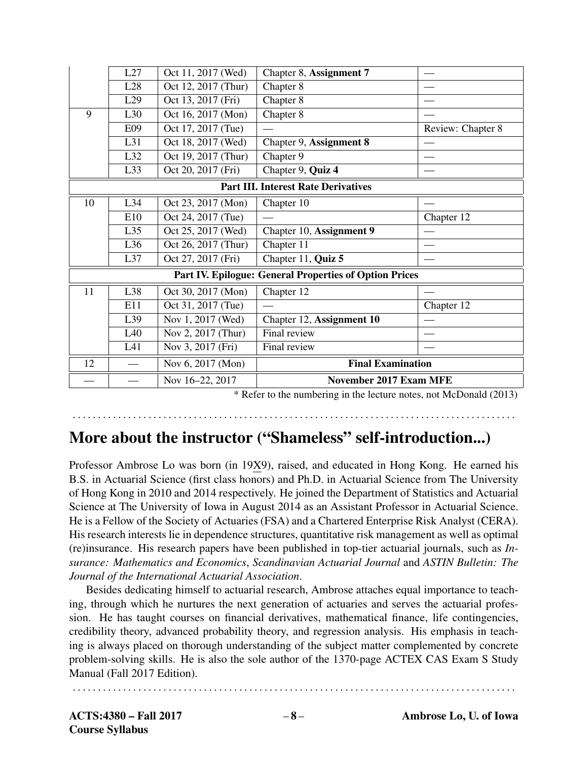|                                                               | L27 | Oct 11, 2017 (Wed)  | Chapter 8, Assignment 7   |                   |  |
|---------------------------------------------------------------|-----|---------------------|---------------------------|-------------------|--|
|                                                               | L28 | Oct 12, 2017 (Thur) | Chapter 8                 |                   |  |
|                                                               | L29 | Oct 13, 2017 (Fri)  | Chapter 8                 |                   |  |
| 9                                                             | L30 | Oct 16, 2017 (Mon)  | Chapter 8                 |                   |  |
|                                                               | E09 | Oct 17, 2017 (Tue)  |                           | Review: Chapter 8 |  |
|                                                               | L31 | Oct 18, 2017 (Wed)  | Chapter 9, Assignment 8   |                   |  |
|                                                               | L32 | Oct 19, 2017 (Thur) | Chapter 9                 |                   |  |
|                                                               | L33 | Oct 20, 2017 (Fri)  | Chapter 9, Quiz 4         |                   |  |
| <b>Part III. Interest Rate Derivatives</b>                    |     |                     |                           |                   |  |
| 10                                                            | L34 | Oct 23, 2017 (Mon)  | Chapter 10                |                   |  |
|                                                               | E10 | Oct 24, 2017 (Tue)  |                           | Chapter 12        |  |
|                                                               | L35 | Oct 25, 2017 (Wed)  | Chapter 10, Assignment 9  |                   |  |
|                                                               | L36 | Oct 26, 2017 (Thur) | Chapter 11                |                   |  |
|                                                               | L37 | Oct 27, 2017 (Fri)  | Chapter 11, Quiz 5        |                   |  |
| <b>Part IV. Epilogue: General Properties of Option Prices</b> |     |                     |                           |                   |  |
| 11                                                            | L38 | Oct 30, 2017 (Mon)  | Chapter 12                |                   |  |
|                                                               | E11 | Oct 31, 2017 (Tue)  |                           | Chapter $12$      |  |
|                                                               | L39 | Nov 1, 2017 (Wed)   | Chapter 12, Assignment 10 |                   |  |
|                                                               | L40 | Nov 2, 2017 (Thur)  | Final review              |                   |  |
|                                                               | L41 | Nov 3, 2017 (Fri)   | Final review              |                   |  |
| 12                                                            |     | Nov 6, 2017 (Mon)   | <b>Final Examination</b>  |                   |  |
|                                                               |     | Nov 16-22, 2017     | November 2017 Exam MFE    |                   |  |

\* Refer to the numbering in the lecture notes, not McDonald (2013)

### More about the instructor ("Shameless" self-introduction...)

. . . . . . . . . . . . . . . . . . . . . . . . . . . . . . . . . . . . . . . . . . . . . . . . . . . . . . . . . . . . . . . . . . . . . . . . . . . . . . . . . . . . . . . .

Professor Ambrose Lo was born (in 19X9), raised, and educated in Hong Kong. He earned his B.S. in Actuarial Science (first class honors) and Ph.D. in Actuarial Science from The University of Hong Kong in 2010 and 2014 respectively. He joined the Department of Statistics and Actuarial Science at The University of Iowa in August 2014 as an Assistant Professor in Actuarial Science. He is a Fellow of the Society of Actuaries (FSA) and a Chartered Enterprise Risk Analyst (CERA). His research interests lie in dependence structures, quantitative risk management as well as optimal (re)insurance. His research papers have been published in top-tier actuarial journals, such as *Insurance: Mathematics and Economics*, *Scandinavian Actuarial Journal* and *ASTIN Bulletin: The Journal of the International Actuarial Association*.

Besides dedicating himself to actuarial research, Ambrose attaches equal importance to teaching, through which he nurtures the next generation of actuaries and serves the actuarial profession. He has taught courses on financial derivatives, mathematical finance, life contingencies, credibility theory, advanced probability theory, and regression analysis. His emphasis in teaching is always placed on thorough understanding of the subject matter complemented by concrete problem-solving skills. He is also the sole author of the 1370-page ACTEX CAS Exam S Study Manual (Fall 2017 Edition).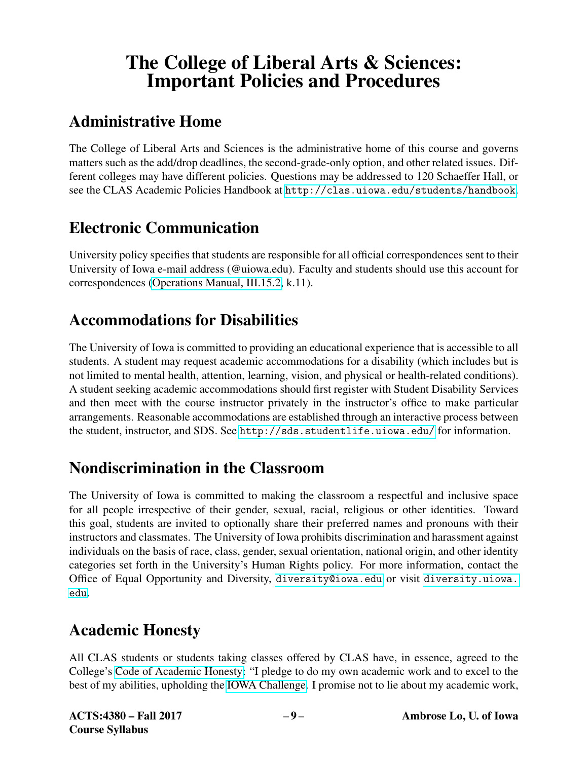# The College of Liberal Arts & Sciences: Important Policies and Procedures

# Administrative Home

The College of Liberal Arts and Sciences is the administrative home of this course and governs matters such as the add/drop deadlines, the second-grade-only option, and other related issues. Different colleges may have different policies. Questions may be addressed to 120 Schaeffer Hall, or see the CLAS Academic Policies Handbook at <http://clas.uiowa.edu/students/handbook>.

## Electronic Communication

University policy specifies that students are responsible for all official correspondences sent to their University of Iowa e-mail address (@uiowa.edu). Faculty and students should use this account for correspondences [\(Operations Manual, III.15.2,](https://opsmanual.uiowa.edu/human-resources/professional-ethics-and-academic-responsibility#15.2) k.11).

## Accommodations for Disabilities

The University of Iowa is committed to providing an educational experience that is accessible to all students. A student may request academic accommodations for a disability (which includes but is not limited to mental health, attention, learning, vision, and physical or health-related conditions). A student seeking academic accommodations should first register with Student Disability Services and then meet with the course instructor privately in the instructor's office to make particular arrangements. Reasonable accommodations are established through an interactive process between the student, instructor, and SDS. See <http://sds.studentlife.uiowa.edu/> for information.

## Nondiscrimination in the Classroom

The University of Iowa is committed to making the classroom a respectful and inclusive space for all people irrespective of their gender, sexual, racial, religious or other identities. Toward this goal, students are invited to optionally share their preferred names and pronouns with their instructors and classmates. The University of Iowa prohibits discrimination and harassment against individuals on the basis of race, class, gender, sexual orientation, national origin, and other identity categories set forth in the University's Human Rights policy. For more information, contact the Office of Equal Opportunity and Diversity, <diversity@iowa.edu> or visit [diversity.uiowa.](diversity.uiowa.edu) [edu](diversity.uiowa.edu).

## Academic Honesty

All CLAS students or students taking classes offered by CLAS have, in essence, agreed to the College's [Code of Academic Honesty:](https://clas.uiowa.edu/students/handbook/academic-fraud-honor-code) "I pledge to do my own academic work and to excel to the best of my abilities, upholding the [IOWA Challenge.](https://newstudents.uiowa.edu/iowa-challenge) I promise not to lie about my academic work,